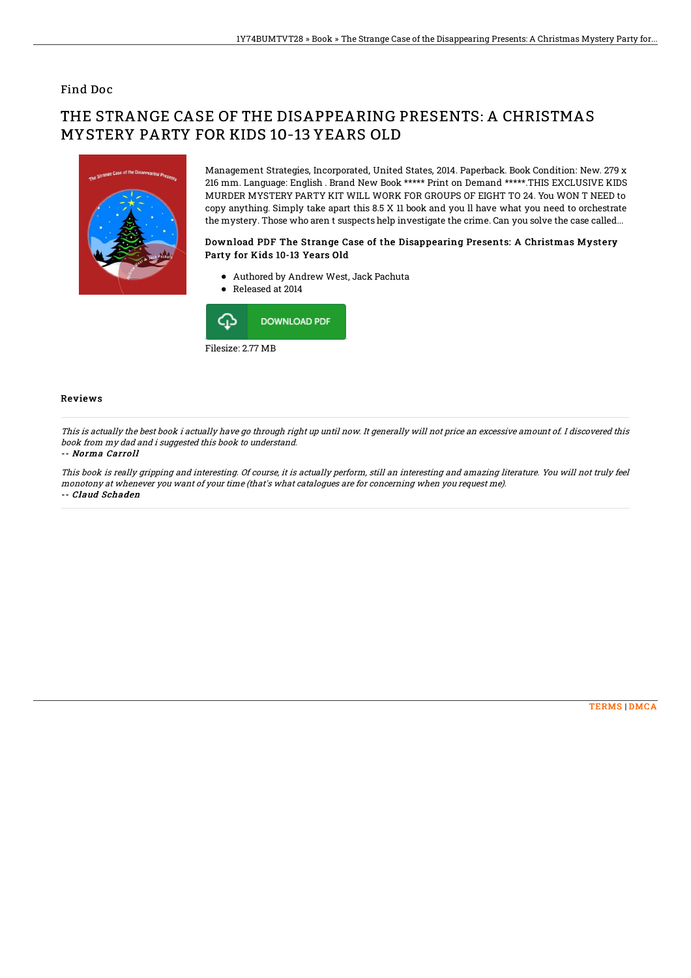## Find Doc

# THE STRANGE CASE OF THE DISAPPEARING PRESENTS: A CHRISTMAS MYSTERY PARTY FOR KIDS 10-13 YEARS OLD



Management Strategies, Incorporated, United States, 2014. Paperback. Book Condition: New. 279 x 216 mm. Language: English . Brand New Book \*\*\*\*\* Print on Demand \*\*\*\*\*.THIS EXCLUSIVE KIDS MURDER MYSTERY PARTY KIT WILL WORK FOR GROUPS OF EIGHT TO 24. You WON T NEED to copy anything. Simply take apart this 8.5 X 11 book and you ll have what you need to orchestrate the mystery. Those who aren t suspects help investigate the crime. Can you solve the case called...

### Download PDF The Strange Case of the Disappearing Presents: A Christmas Mystery Party for Kids 10-13 Years Old

- Authored by Andrew West, Jack Pachuta
- Released at 2014



Filesize: 2.77 MB

#### Reviews

This is actually the best book i actually have go through right up until now. It generally will not price an excessive amount of. I discovered this book from my dad and i suggested this book to understand.

#### -- Norma Carroll

This book is really gripping and interesting. Of course, it is actually perform, still an interesting and amazing literature. You will not truly feel monotony at whenever you want of your time (that's what catalogues are for concerning when you request me). -- Claud Schaden